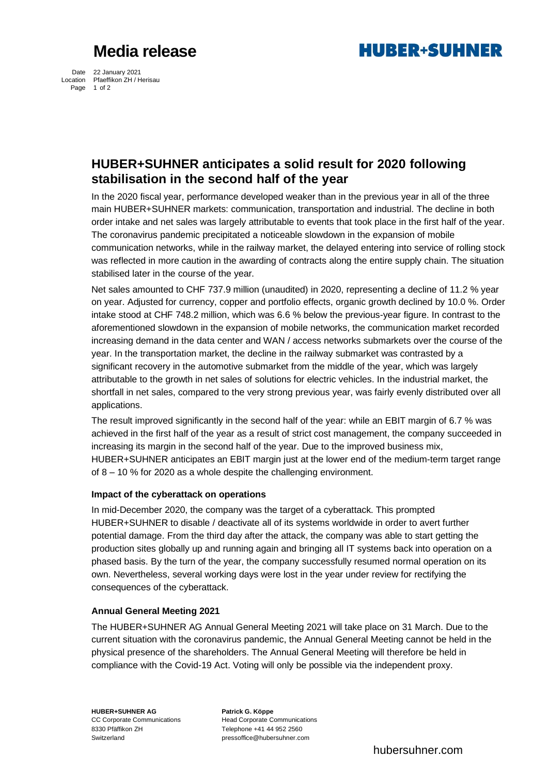# **Media release**



Date 22 January 2021 Location Pfaeffikon ZH / Herisau Page 1 of 2

### **HUBER+SUHNER anticipates a solid result for 2020 following stabilisation in the second half of the year**

In the 2020 fiscal year, performance developed weaker than in the previous year in all of the three main HUBER+SUHNER markets: communication, transportation and industrial. The decline in both order intake and net sales was largely attributable to events that took place in the first half of the year. The coronavirus pandemic precipitated a noticeable slowdown in the expansion of mobile communication networks, while in the railway market, the delayed entering into service of rolling stock was reflected in more caution in the awarding of contracts along the entire supply chain. The situation stabilised later in the course of the year.

Net sales amounted to CHF 737.9 million (unaudited) in 2020, representing a decline of 11.2 % year on year. Adjusted for currency, copper and portfolio effects, organic growth declined by 10.0 %. Order intake stood at CHF 748.2 million, which was 6.6 % below the previous-year figure. In contrast to the aforementioned slowdown in the expansion of mobile networks, the communication market recorded increasing demand in the data center and WAN / access networks submarkets over the course of the year. In the transportation market, the decline in the railway submarket was contrasted by a significant recovery in the automotive submarket from the middle of the year, which was largely attributable to the growth in net sales of solutions for electric vehicles. In the industrial market, the shortfall in net sales, compared to the very strong previous year, was fairly evenly distributed over all applications.

The result improved significantly in the second half of the year: while an EBIT margin of 6.7 % was achieved in the first half of the year as a result of strict cost management, the company succeeded in increasing its margin in the second half of the year. Due to the improved business mix, HUBER+SUHNER anticipates an EBIT margin just at the lower end of the medium-term target range of 8 – 10 % for 2020 as a whole despite the challenging environment.

### **Impact of the cyberattack on operations**

In mid-December 2020, the company was the target of a cyberattack. This prompted HUBER+SUHNER to disable / deactivate all of its systems worldwide in order to avert further potential damage. From the third day after the attack, the company was able to start getting the production sites globally up and running again and bringing all IT systems back into operation on a phased basis. By the turn of the year, the company successfully resumed normal operation on its own. Nevertheless, several working days were lost in the year under review for rectifying the consequences of the cyberattack.

### **Annual General Meeting 2021**

The HUBER+SUHNER AG Annual General Meeting 2021 will take place on 31 March. Due to the current situation with the coronavirus pandemic, the Annual General Meeting cannot be held in the physical presence of the shareholders. The Annual General Meeting will therefore be held in compliance with the Covid-19 Act. Voting will only be possible via the independent proxy.

**HUBER+SUHNER AG Patrick G. Köppe**  8330 Pfäffikon ZH Telephone +41 44 952 2560

CC Corporate Communications Head Corporate Communications Switzerland pressoffice@hubersuhner.com